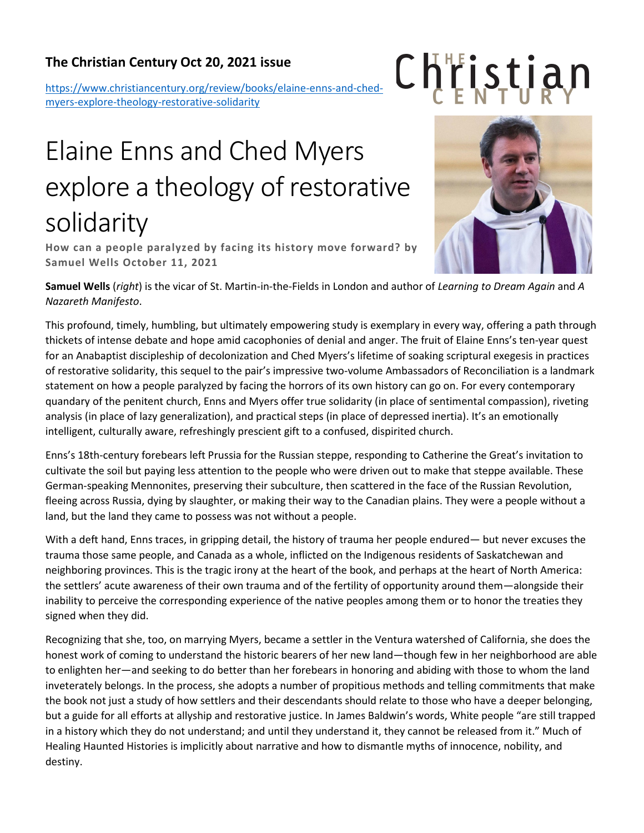## **The Christian Century Oct 20, 2021 issue**

[https://www.christiancentury.org/review/books/elaine-enns-and-ched](https://www.christiancentury.org/review/books/elaine-enns-and-ched-myers-explore-theology-restorative-solidarity)[myers-explore-theology-restorative-solidarity](https://www.christiancentury.org/review/books/elaine-enns-and-ched-myers-explore-theology-restorative-solidarity)

## Elaine Enns and Ched Myers explore a theology of restorative solidarity

**How can a people paralyzed by facing its history move forward? by Samuel Wells October 11, 2021** 



Christian

**Samuel Wells** (*right*) is the vicar of St. Martin-in-the-Fields in London and author of *Learning to Dream Again* and *A Nazareth Manifesto*.

This profound, timely, humbling, but ultimately empowering study is exemplary in every way, offering a path through thickets of intense debate and hope amid cacophonies of denial and anger. The fruit of Elaine Enns's ten-year quest for an Anabaptist discipleship of decolonization and Ched Myers's lifetime of soaking scriptural exegesis in practices of restorative solidarity, this sequel to the pair's impressive two-volume Ambassadors of Reconciliation is a landmark statement on how a people paralyzed by facing the horrors of its own history can go on. For every contemporary quandary of the penitent church, Enns and Myers offer true solidarity (in place of sentimental compassion), riveting analysis (in place of lazy generalization), and practical steps (in place of depressed inertia). It's an emotionally intelligent, culturally aware, refreshingly prescient gift to a confused, dispirited church.

Enns's 18th-century forebears left Prussia for the Russian steppe, responding to Catherine the Great's invitation to cultivate the soil but paying less attention to the people who were driven out to make that steppe available. These German-speaking Mennonites, preserving their subculture, then scattered in the face of the Russian Revolution, fleeing across Russia, dying by slaughter, or making their way to the Canadian plains. They were a people without a land, but the land they came to possess was not without a people.

With a deft hand, Enns traces, in gripping detail, the history of trauma her people endured— but never excuses the trauma those same people, and Canada as a whole, inflicted on the Indigenous residents of Saskatchewan and neighboring provinces. This is the tragic irony at the heart of the book, and perhaps at the heart of North America: the settlers' acute awareness of their own trauma and of the fertility of opportunity around them—alongside their inability to perceive the corresponding experience of the native peoples among them or to honor the treaties they signed when they did.

Recognizing that she, too, on marrying Myers, became a settler in the Ventura watershed of California, she does the honest work of coming to understand the historic bearers of her new land—though few in her neighborhood are able to enlighten her—and seeking to do better than her forebears in honoring and abiding with those to whom the land inveterately belongs. In the process, she adopts a number of propitious methods and telling commitments that make the book not just a study of how settlers and their descendants should relate to those who have a deeper belonging, but a guide for all efforts at allyship and restorative justice. In James Baldwin's words, White people "are still trapped in a history which they do not understand; and until they understand it, they cannot be released from it." Much of Healing Haunted Histories is implicitly about narrative and how to dismantle myths of innocence, nobility, and destiny.